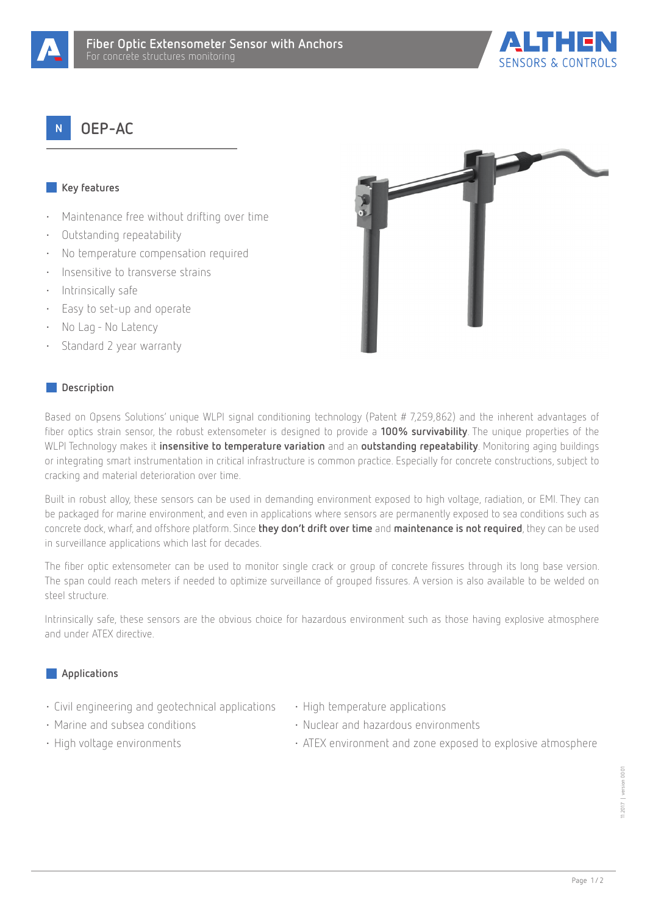



# **OEP-AC**

## **Key features**

- Maintenance free without drifting over time
- Outstanding repeatability
- No temperature compensation required
- Insensitive to transverse strains
- Intrinsically safe
- Easy to set-up and operate
- No Lag No Latency
- Standard 2 year warranty

### **Description**

Based on Opsens Solutions' unique WLPI signal conditioning technology (Patent # 7,259,862) and the inherent advantages of fiber optics strain sensor, the robust extensometer is designed to provide a **100% survivability**. The unique properties of the WLPI Technology makes it **insensitive to temperature variation** and an **outstanding repeatability**. Monitoring aging buildings or integrating smart instrumentation in critical infrastructure is common practice. Especially for concrete constructions, subject to cracking and material deterioration over time.

Built in robust alloy, these sensors can be used in demanding environment exposed to high voltage, radiation, or EMI. They can be packaged for marine environment, and even in applications where sensors are permanently exposed to sea conditions such as concrete dock, wharf, and offshore platform. Since **they don't drift over time** and **maintenance is not required**, they can be used in surveillance applications which last for decades.

The fiber optic extensometer can be used to monitor single crack or group of concrete fissures through its long base version. The span could reach meters if needed to optimize surveillance of grouped fissures. A version is also available to be welded on steel structure.

Intrinsically safe, these sensors are the obvious choice for hazardous environment such as those having explosive atmosphere and under ATEX directive.

#### **Applications**

- Civil engineering and geotechnical applications High temperature applications
- 
- Marine and subsea conditions Nuclear and hazardous environments
- 

- 
- High voltage environments ATEX environment and zone exposed to explosive atmosphere